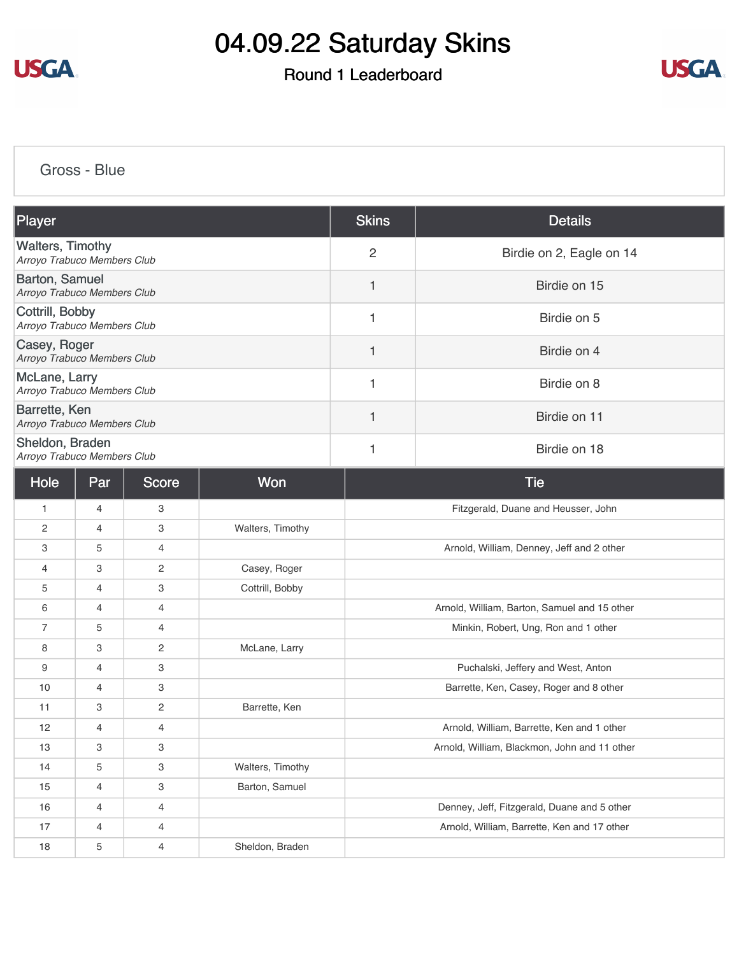

### Round 1 Leaderboard



[Gross - Blue](https://cdn2.golfgenius.com/v2tournaments/8372983566241390815?called_from=&round_index=1)

| <b>Player</b>                                          | <b>Skins</b>   | <b>Details</b>           |
|--------------------------------------------------------|----------------|--------------------------|
| <b>Walters, Timothy</b><br>Arroyo Trabuco Members Club | $\overline{c}$ | Birdie on 2, Eagle on 14 |
| Barton, Samuel<br>Arroyo Trabuco Members Club          |                | Birdie on 15             |
| Cottrill, Bobby<br>Arroyo Trabuco Members Club         |                | Birdie on 5              |
| Casey, Roger<br>Arroyo Trabuco Members Club            |                | Birdie on 4              |
| McLane, Larry<br>Arroyo Trabuco Members Club           |                | Birdie on 8              |
| Barrette, Ken<br>Arroyo Trabuco Members Club           |                | Birdie on 11             |
| Sheldon, Braden<br>Arroyo Trabuco Members Club         |                | Birdie on 18             |

| Hole           | Par            | Score          | Won              | <b>Tie</b>                                   |
|----------------|----------------|----------------|------------------|----------------------------------------------|
| $\mathbf{1}$   | $\overline{4}$ | 3              |                  | Fitzgerald, Duane and Heusser, John          |
| $\mathbf{2}$   | $\overline{4}$ | 3              | Walters, Timothy |                                              |
| 3              | 5              | $\overline{4}$ |                  | Arnold, William, Denney, Jeff and 2 other    |
| 4              | 3              | $\mathbf{2}$   | Casey, Roger     |                                              |
| 5              | $\overline{4}$ | 3              | Cottrill, Bobby  |                                              |
| 6              | 4              | $\overline{4}$ |                  | Arnold, William, Barton, Samuel and 15 other |
| $\overline{7}$ | 5              | 4              |                  | Minkin, Robert, Ung, Ron and 1 other         |
| 8              | 3              | $\overline{c}$ | McLane, Larry    |                                              |
| 9              | $\overline{4}$ | 3              |                  | Puchalski, Jeffery and West, Anton           |
| 10             | 4              | 3              |                  | Barrette, Ken, Casey, Roger and 8 other      |
| 11             | 3              | $\overline{c}$ | Barrette, Ken    |                                              |
| 12             | 4              | $\overline{4}$ |                  | Arnold, William, Barrette, Ken and 1 other   |
| 13             | 3              | 3              |                  | Arnold, William, Blackmon, John and 11 other |
| 14             | 5              | 3              | Walters, Timothy |                                              |
| 15             | $\overline{4}$ | 3              | Barton, Samuel   |                                              |
| 16             | 4              | 4              |                  | Denney, Jeff, Fitzgerald, Duane and 5 other  |
| 17             | 4              | $\overline{4}$ |                  | Arnold, William, Barrette, Ken and 17 other  |
| 18             | 5              | 4              | Sheldon, Braden  |                                              |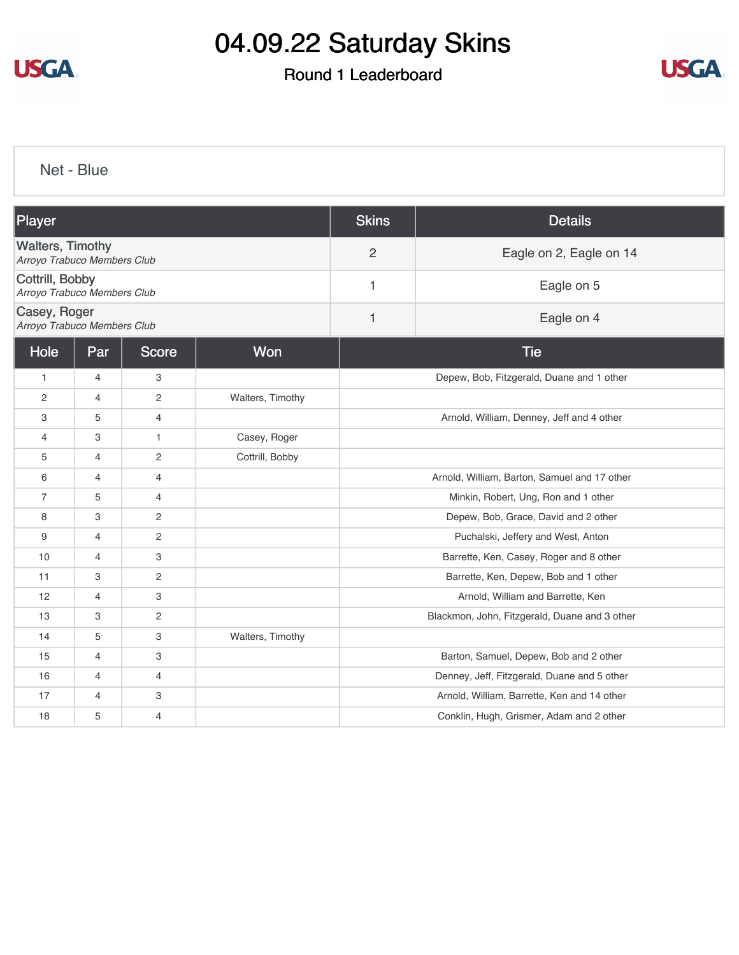

### Round 1 Leaderboard



[Net - Blue](https://cdn2.golfgenius.com/v2tournaments/8372984871240360160?called_from=&round_index=1)

| Player                                                 |                |                 |                  | <b>Skins</b>                                  | <b>Details</b>                              |  |
|--------------------------------------------------------|----------------|-----------------|------------------|-----------------------------------------------|---------------------------------------------|--|
| <b>Walters, Timothy</b><br>Arroyo Trabuco Members Club |                |                 |                  | $\overline{2}$                                | Eagle on 2, Eagle on 14                     |  |
| Cottrill, Bobby<br>Arroyo Trabuco Members Club         |                | Eagle on 5<br>1 |                  |                                               |                                             |  |
| Casey, Roger<br>Arroyo Trabuco Members Club            |                | 1               | Eagle on 4       |                                               |                                             |  |
| Hole                                                   | Par            | <b>Score</b>    | Won              | <b>Tie</b>                                    |                                             |  |
| $\mathbf{1}$                                           | 4              | 3               |                  |                                               | Depew, Bob, Fitzgerald, Duane and 1 other   |  |
| 2                                                      | $\overline{4}$ | $\mathbf{2}$    | Walters, Timothy |                                               |                                             |  |
| З                                                      | 5              | $\overline{4}$  |                  | Arnold, William, Denney, Jeff and 4 other     |                                             |  |
| $\overline{4}$                                         | 3              | $\mathbf{1}$    | Casey, Roger     |                                               |                                             |  |
| 5                                                      | 4              | $\mathbf{2}$    | Cottrill, Bobby  |                                               |                                             |  |
| 6                                                      | 4              | $\overline{4}$  |                  | Arnold, William, Barton, Samuel and 17 other  |                                             |  |
| $\overline{7}$                                         | 5              | $\overline{4}$  |                  | Minkin, Robert, Ung, Ron and 1 other          |                                             |  |
| 8                                                      | 3              | $\mathbf{2}$    |                  |                                               | Depew, Bob, Grace, David and 2 other        |  |
| 9                                                      | $\overline{4}$ | $\mathbf{2}$    |                  | Puchalski, Jeffery and West, Anton            |                                             |  |
| 10                                                     | 4              | 3               |                  | Barrette, Ken, Casey, Roger and 8 other       |                                             |  |
| 11                                                     | 3              | $\mathbf{2}$    |                  | Barrette, Ken, Depew, Bob and 1 other         |                                             |  |
| 12                                                     | $\overline{4}$ | 3               |                  | Arnold, William and Barrette, Ken             |                                             |  |
| 13                                                     | 3              | $\mathbf{2}$    |                  | Blackmon, John, Fitzgerald, Duane and 3 other |                                             |  |
| 14                                                     | 5              | 3               | Walters, Timothy |                                               |                                             |  |
| 15                                                     | $\overline{4}$ | 3               |                  |                                               | Barton, Samuel, Depew, Bob and 2 other      |  |
| 16                                                     | 4              | 4               |                  |                                               | Denney, Jeff, Fitzgerald, Duane and 5 other |  |
| 17                                                     | 4              | 3               |                  |                                               | Arnold, William, Barrette, Ken and 14 other |  |
| 18                                                     | 5              | $\overline{4}$  |                  |                                               | Conklin, Hugh, Grismer, Adam and 2 other    |  |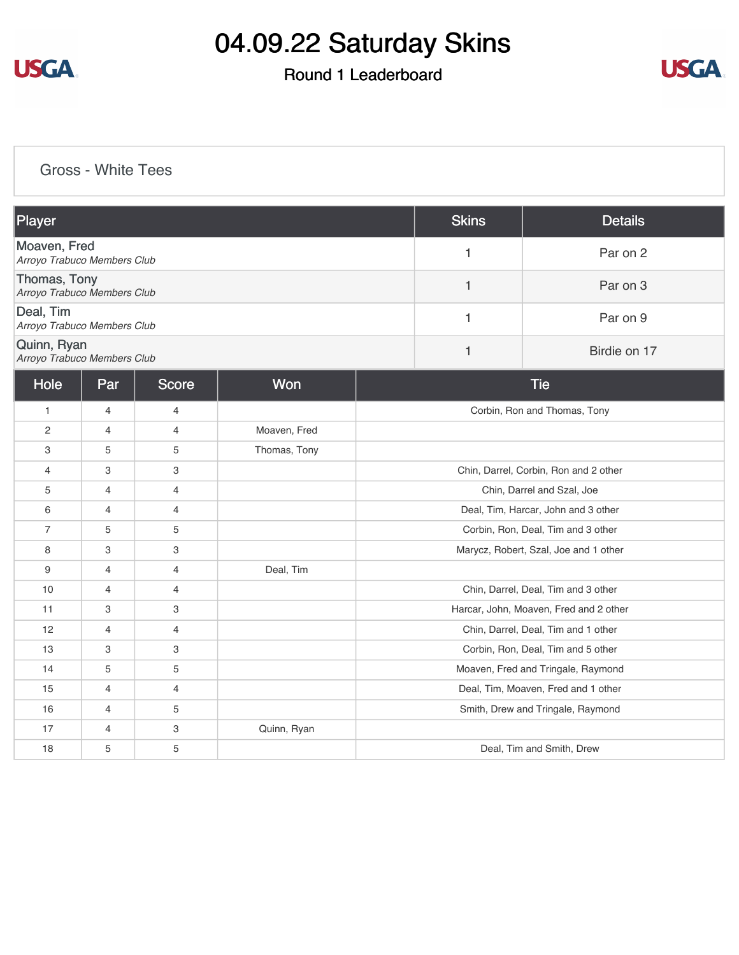

### Round 1 Leaderboard



[Gross - White Tees](https://cdn2.golfgenius.com/v2tournaments/8372985829655601377?called_from=&round_index=1)

| Player                                      | <b>Skins</b> | <b>Details</b> |
|---------------------------------------------|--------------|----------------|
| Moaven, Fred<br>Arroyo Trabuco Members Club |              | Par on 2       |
| Thomas, Tony<br>Arroyo Trabuco Members Club |              | Par on 3       |
| Deal, Tim<br>Arroyo Trabuco Members Club    |              | Par on 9       |
| Quinn, Ryan<br>Arroyo Trabuco Members Club  |              | Birdie on 17   |

| Hole           | Par | Score          | Won          | <b>Tie</b>                             |
|----------------|-----|----------------|--------------|----------------------------------------|
| $\mathbf{1}$   | 4   | 4              |              | Corbin, Ron and Thomas, Tony           |
| 2              | 4   | 4              | Moaven, Fred |                                        |
| 3              | 5   | 5              | Thomas, Tony |                                        |
| $\overline{4}$ | 3   | 3              |              | Chin, Darrel, Corbin, Ron and 2 other  |
| 5              | 4   | $\overline{4}$ |              | Chin, Darrel and Szal, Joe             |
| 6              | 4   | $\overline{4}$ |              | Deal, Tim, Harcar, John and 3 other    |
| $\overline{7}$ | 5   | 5              |              | Corbin, Ron, Deal, Tim and 3 other     |
| 8              | 3   | 3              |              | Marycz, Robert, Szal, Joe and 1 other  |
| 9              | 4   | 4              | Deal, Tim    |                                        |
| 10             | 4   | $\overline{4}$ |              | Chin, Darrel, Deal, Tim and 3 other    |
| 11             | 3   | 3              |              | Harcar, John, Moaven, Fred and 2 other |
| 12             | 4   | $\overline{4}$ |              | Chin, Darrel, Deal, Tim and 1 other    |
| 13             | 3   | 3              |              | Corbin, Ron, Deal, Tim and 5 other     |
| 14             | 5   | 5              |              | Moaven, Fred and Tringale, Raymond     |
| 15             | 4   | $\overline{4}$ |              | Deal, Tim, Moaven, Fred and 1 other    |
| 16             | 4   | 5              |              | Smith, Drew and Tringale, Raymond      |
| 17             | 4   | 3              | Quinn, Ryan  |                                        |
| 18             | 5   | 5              |              | Deal, Tim and Smith, Drew              |